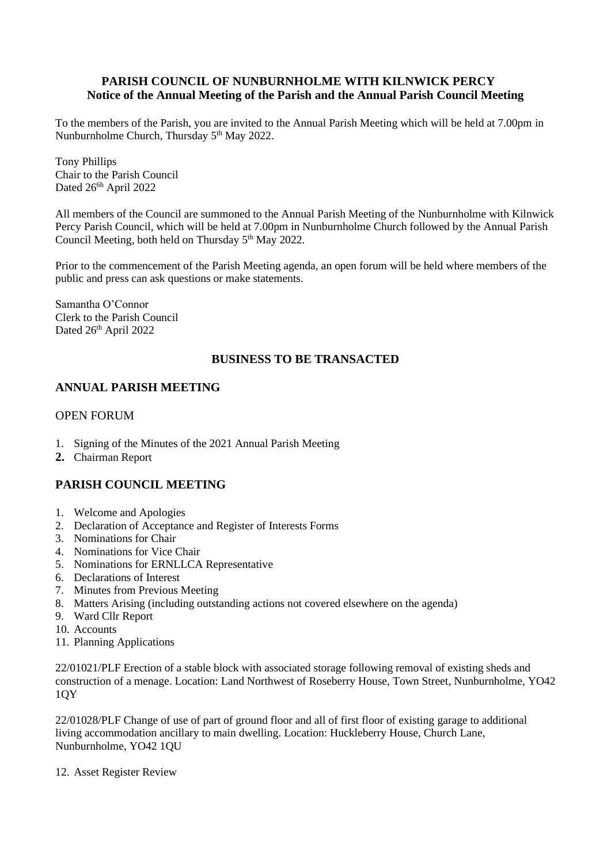### **PARISH COUNCIL OF NUNBURNHOLME WITH KILNWICK PERCY Notice of the Annual Meeting of the Parish and the Annual Parish Council Meeting**

To the members of the Parish, you are invited to the Annual Parish Meeting which will be held at 7.00pm in Nunburnholme Church, Thursday 5<sup>th</sup> May 2022.

Tony Phillips Chair to the Parish Council Dated 26<sup>6h</sup> April 2022

All members of the Council are summoned to the Annual Parish Meeting of the Nunburnholme with Kilnwick Percy Parish Council, which will be held at 7.00pm in Nunburnholme Church followed by the Annual Parish Council Meeting, both held on Thursday 5<sup>th</sup> May 2022.

Prior to the commencement of the Parish Meeting agenda, an open forum will be held where members of the public and press can ask questions or make statements.

Samantha O'Connor Clerk to the Parish Council Dated 26<sup>th</sup> April 2022

#### **BUSINESS TO BE TRANSACTED**

## **ANNUAL PARISH MEETING**

#### OPEN FORUM

- 1. Signing of the Minutes of the 2021 Annual Parish Meeting
- **2.** Chairman Report

# **PARISH COUNCIL MEETING**

- 1. Welcome and Apologies
- 2. Declaration of Acceptance and Register of Interests Forms
- 3. Nominations for Chair
- 4. Nominations for Vice Chair
- 5. Nominations for ERNLLCA Representative
- 6. Declarations of Interest
- 7. Minutes from Previous Meeting
- 8. Matters Arising (including outstanding actions not covered elsewhere on the agenda)
- 9. Ward Cllr Report
- 10. Accounts
- 11. Planning Applications

22/01021/PLF Erection of a stable block with associated storage following removal of existing sheds and construction of a menage. Location: Land Northwest of Roseberry House, Town Street, Nunburnholme, YO42 1QY

22/01028/PLF Change of use of part of ground floor and all of first floor of existing garage to additional living accommodation ancillary to main dwelling. Location: Huckleberry House, Church Lane, Nunburnholme, YO42 1QU

12. Asset Register Review